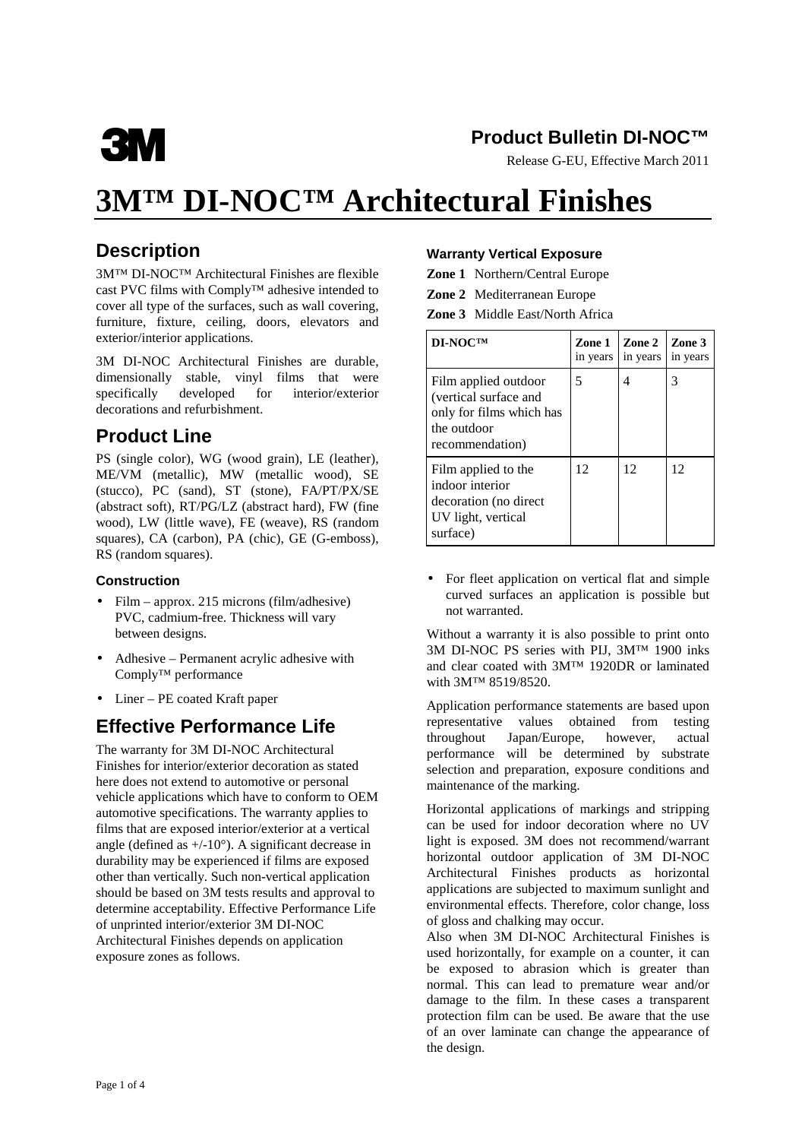

### **Product Bulletin DI-NOC™**

Release G-EU, Effective March 2011

# **3M™ DI-NOC™ Architectural Finishes**

# **Description**

3M™ DI-NOC™ Architectural Finishes are flexible cast PVC films with Comply™ adhesive intended to cover all type of the surfaces, such as wall covering, furniture, fixture, ceiling, doors, elevators and exterior/interior applications.

3M DI-NOC Architectural Finishes are durable, dimensionally stable, vinyl films that were specifically developed for interior/exterior decorations and refurbishment.

### **Product Line**

PS (single color), WG (wood grain), LE (leather), ME/VM (metallic), MW (metallic wood), SE (stucco), PC (sand), ST (stone), FA/PT/PX/SE (abstract soft), RT/PG/LZ (abstract hard), FW (fine wood), LW (little wave), FE (weave), RS (random squares), CA (carbon), PA (chic), GE (G-emboss), RS (random squares).

#### **Construction**

- Film approx. 215 microns (film/adhesive) PVC, cadmium-free. Thickness will vary between designs.
- Adhesive Permanent acrylic adhesive with Comply™ performance
- Liner PE coated Kraft paper

# **Effective Performance Life**

The warranty for 3M DI-NOC Architectural Finishes for interior/exterior decoration as stated here does not extend to automotive or personal vehicle applications which have to conform to OEM automotive specifications. The warranty applies to films that are exposed interior/exterior at a vertical angle (defined as  $+/-10^{\circ}$ ). A significant decrease in durability may be experienced if films are exposed other than vertically. Such non-vertical application should be based on 3M tests results and approval to determine acceptability. Effective Performance Life of unprinted interior/exterior 3M DI-NOC Architectural Finishes depends on application exposure zones as follows.

#### **Warranty Vertical Exposure**

**Zone 1** Northern/Central Europe

**Zone 2** Mediterranean Europe

**Zone 3** Middle East/North Africa

| DI-NOCTM                                                                                                    | Zone 1<br>in years | Zone 2<br>in years | Zone 3<br>in years |
|-------------------------------------------------------------------------------------------------------------|--------------------|--------------------|--------------------|
| Film applied outdoor<br>(vertical surface and<br>only for films which has<br>the outdoor<br>recommendation) | 5                  | 4                  | 3                  |
| Film applied to the<br>indoor interior<br>decoration (no direct)<br>UV light, vertical<br>surface)          | 12                 | 12                 | 12                 |

• For fleet application on vertical flat and simple curved surfaces an application is possible but not warranted.

Without a warranty it is also possible to print onto 3M DI-NOC PS series with PIJ, 3M™ 1900 inks and clear coated with 3M™ 1920DR or laminated with 3M™ 8519/8520.

Application performance statements are based upon representative values obtained from testing throughout Japan/Europe, however, actual performance will be determined by substrate selection and preparation, exposure conditions and maintenance of the marking.

Horizontal applications of markings and stripping can be used for indoor decoration where no UV light is exposed. 3M does not recommend/warrant horizontal outdoor application of 3M DI-NOC Architectural Finishes products as horizontal applications are subjected to maximum sunlight and environmental effects. Therefore, color change, loss of gloss and chalking may occur.

Also when 3M DI-NOC Architectural Finishes is used horizontally, for example on a counter, it can be exposed to abrasion which is greater than normal. This can lead to premature wear and/or damage to the film. In these cases a transparent protection film can be used. Be aware that the use of an over laminate can change the appearance of the design.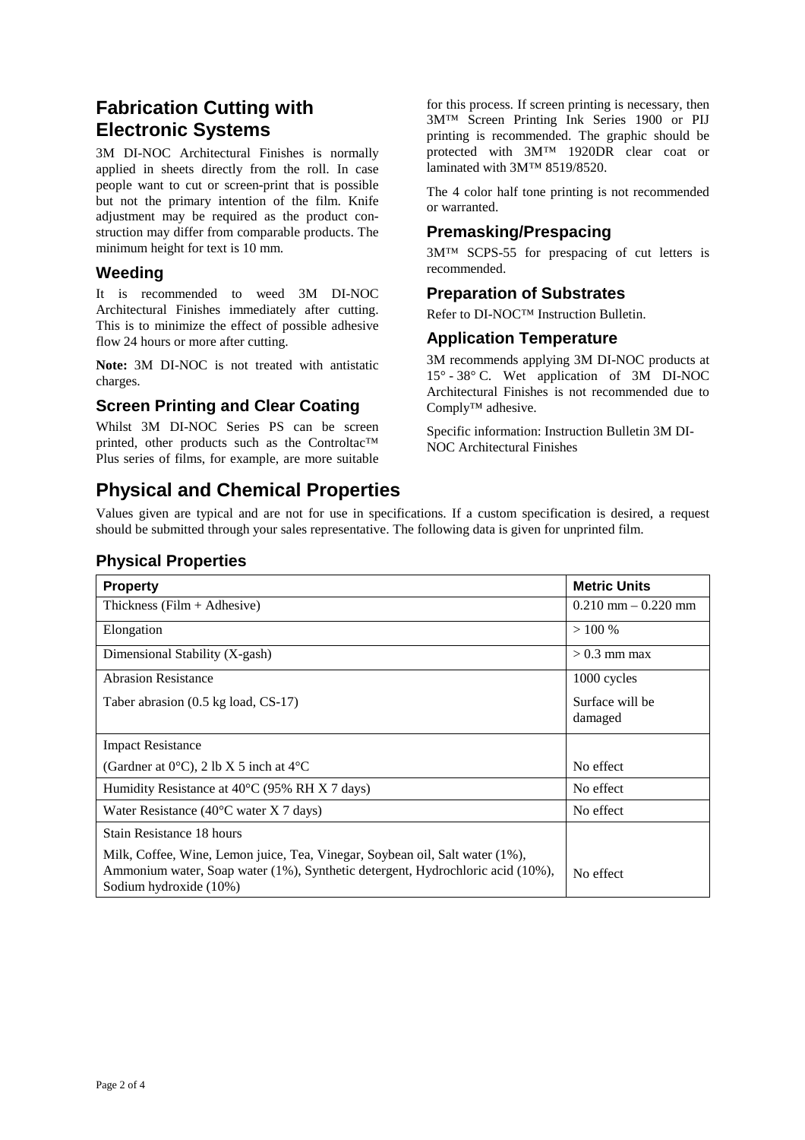### **Fabrication Cutting with Electronic Systems**

3M DI-NOC Architectural Finishes is normally applied in sheets directly from the roll. In case people want to cut or screen-print that is possible but not the primary intention of the film. Knife adjustment may be required as the product construction may differ from comparable products. The minimum height for text is 10 mm.

### **Weeding**

It is recommended to weed 3M DI-NOC Architectural Finishes immediately after cutting. This is to minimize the effect of possible adhesive flow 24 hours or more after cutting.

**Note:** 3M DI-NOC is not treated with antistatic charges.

### **Screen Printing and Clear Coating**

Whilst 3M DI-NOC Series PS can be screen printed, other products such as the Controltac™ Plus series of films, for example, are more suitable

for this process. If screen printing is necessary, then 3M™ Screen Printing Ink Series 1900 or PIJ printing is recommended. The graphic should be protected with 3M™ 1920DR clear coat or laminated with 3M™ 8519/8520.

The 4 color half tone printing is not recommended or warranted.

#### **Premasking/Prespacing**

3M™ SCPS-55 for prespacing of cut letters is recommended.

#### **Preparation of Substrates**

Refer to DI-NOC™ Instruction Bulletin.

### **Application Temperature**

3M recommends applying 3M DI-NOC products at 15° - 38° C. Wet application of 3M DI-NOC Architectural Finishes is not recommended due to Comply™ adhesive.

Specific information: Instruction Bulletin 3M DI-NOC Architectural Finishes

# **Physical and Chemical Properties**

Values given are typical and are not for use in specifications. If a custom specification is desired, a request should be submitted through your sales representative. The following data is given for unprinted film.

### **Physical Properties**

| <b>Property</b>                                                                                                                                                                          | <b>Metric Units</b>        |
|------------------------------------------------------------------------------------------------------------------------------------------------------------------------------------------|----------------------------|
| Thickness ( $Film + Adhesive$ )                                                                                                                                                          | $0.210$ mm $- 0.220$ mm    |
| Elongation                                                                                                                                                                               | >100%                      |
| Dimensional Stability (X-gash)                                                                                                                                                           | $> 0.3$ mm max             |
| <b>Abrasion Resistance</b>                                                                                                                                                               | 1000 cycles                |
| Taber abrasion (0.5 kg load, CS-17)                                                                                                                                                      | Surface will be<br>damaged |
|                                                                                                                                                                                          |                            |
| <b>Impact Resistance</b>                                                                                                                                                                 |                            |
| (Gardner at $0^{\circ}$ C), 2 lb X 5 inch at $4^{\circ}$ C                                                                                                                               | No effect                  |
| Humidity Resistance at $40^{\circ}$ C (95% RH X 7 days)                                                                                                                                  | No effect                  |
| Water Resistance (40 $\rm{°C}$ water X 7 days)                                                                                                                                           | No effect                  |
| Stain Resistance 18 hours                                                                                                                                                                |                            |
| Milk, Coffee, Wine, Lemon juice, Tea, Vinegar, Soybean oil, Salt water (1%),<br>Ammonium water, Soap water (1%), Synthetic detergent, Hydrochloric acid (10%),<br>Sodium hydroxide (10%) | No effect                  |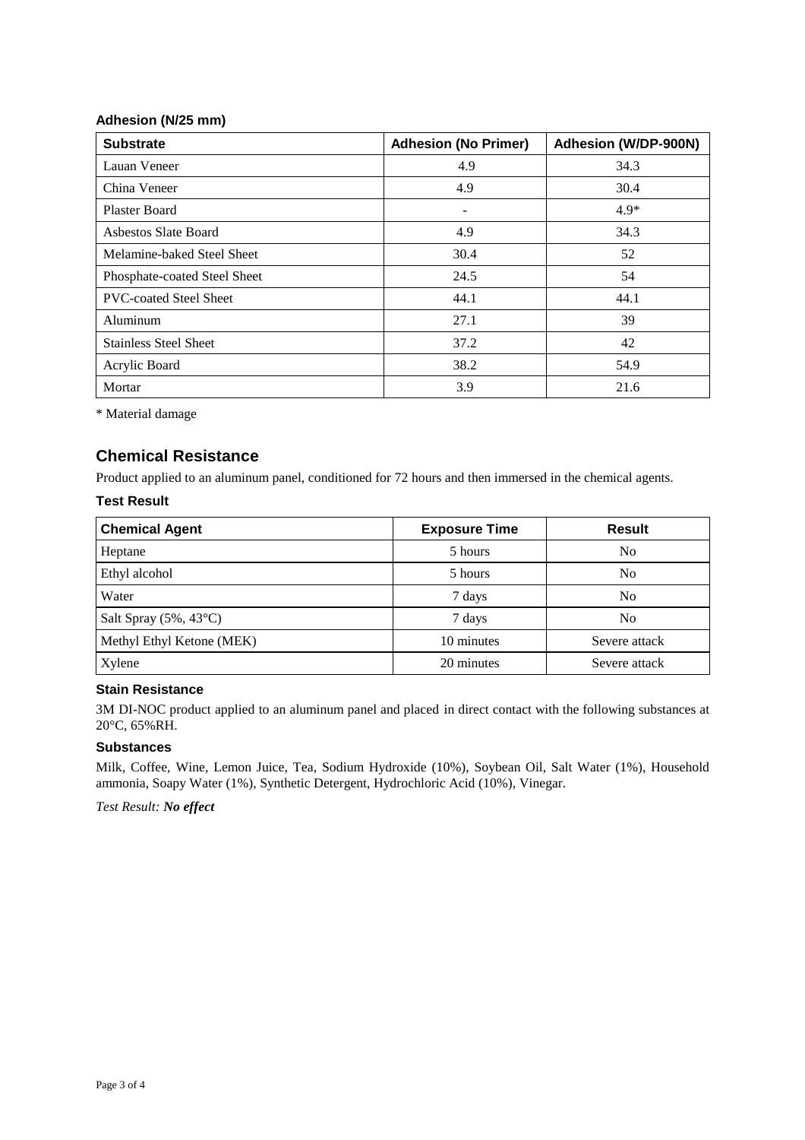#### **Adhesion (N/25 mm)**

| <b>Substrate</b>              | <b>Adhesion (No Primer)</b> | Adhesion (W/DP-900N) |
|-------------------------------|-----------------------------|----------------------|
| Lauan Veneer                  | 4.9                         | 34.3                 |
| China Veneer                  | 4.9                         | 30.4                 |
| <b>Plaster Board</b>          | $\overline{\phantom{0}}$    | $4.9*$               |
| Asbestos Slate Board          | 4.9                         | 34.3                 |
| Melamine-baked Steel Sheet    | 30.4                        | 52                   |
| Phosphate-coated Steel Sheet  | 24.5                        | 54                   |
| <b>PVC-coated Steel Sheet</b> | 44.1                        | 44.1                 |
| Aluminum                      | 27.1                        | 39                   |
| <b>Stainless Steel Sheet</b>  | 37.2                        | 42                   |
| Acrylic Board                 | 38.2                        | 54.9                 |
| Mortar                        | 3.9                         | 21.6                 |

\* Material damage

### **Chemical Resistance**

Product applied to an aluminum panel, conditioned for 72 hours and then immersed in the chemical agents.

#### **Test Result**

| <b>Chemical Agent</b>           | <b>Exposure Time</b> | <b>Result</b>  |
|---------------------------------|----------------------|----------------|
| Heptane                         | 5 hours              | N <sub>0</sub> |
| Ethyl alcohol                   | 5 hours              | No             |
| Water                           | 7 days               | N <sub>0</sub> |
| Salt Spray $(5\%, 43^{\circ}C)$ | 7 days               | N <sub>0</sub> |
| Methyl Ethyl Ketone (MEK)       | 10 minutes           | Severe attack  |
| Xylene                          | 20 minutes           | Severe attack  |

#### **Stain Resistance**

3M DI-NOC product applied to an aluminum panel and placed in direct contact with the following substances at 20°C, 65%RH.

#### **Substances**

Milk, Coffee, Wine, Lemon Juice, Tea, Sodium Hydroxide (10%), Soybean Oil, Salt Water (1%), Household ammonia, Soapy Water (1%), Synthetic Detergent, Hydrochloric Acid (10%), Vinegar.

*Test Result: No effect*